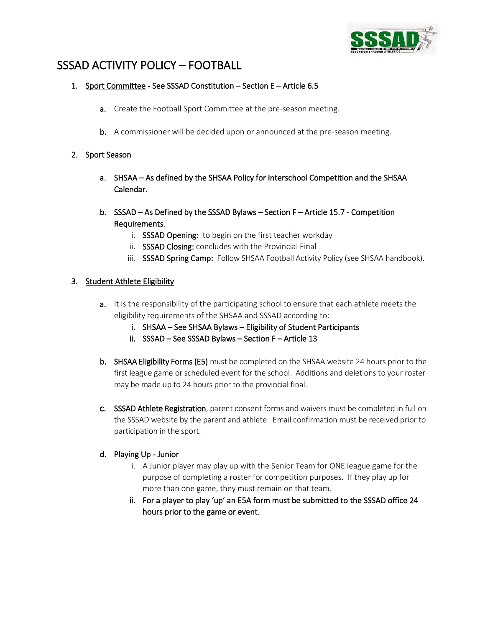

# SSSAD ACTIVITY POLICY – FOOTBALL

# 1. Sport Committee - See SSSAD Constitution – Section E – Article 6.5

- a. Create the Football Sport Committee at the pre-season meeting.
- b. A commissioner will be decided upon or announced at the pre-season meeting.

# 2. Sport Season

- a. SHSAA As defined by the SHSAA Policy for Interschool Competition and the SHSAA Calendar.
- b. SSSAD As Defined by the SSSAD Bylaws Section F Article 15.7 Competition Requirements.
	- i. SSSAD Opening: to begin on the first teacher workday
	- ii. SSSAD Closing: concludes with the Provincial Final
	- iii. SSSAD Spring Camp: Follow SHSAA Football Activity Policy (see SHSAA handbook).

# 3. Student Athlete Eligibility

- **a.** It is the responsibility of the participating school to ensure that each athlete meets the eligibility requirements of the SHSAA and SSSAD according to:
	- i. SHSAA See SHSAA Bylaws Eligibility of Student Participants
	- ii. SSSAD See SSSAD Bylaws Section F Article 13
- b. SHSAA Eligibility Forms (E5) must be completed on the SHSAA website 24 hours prior to the first league game or scheduled event for the school. Additions and deletions to your roster may be made up to 24 hours prior to the provincial final.
- c. SSSAD Athlete Registration, parent consent forms and waivers must be completed in full on the SSSAD website by the parent and athlete. Email confirmation must be received prior to participation in the sport.

#### d. Playing Up - Junior

- i. A Junior player may play up with the Senior Team for ONE league game for the purpose of completing a roster for competition purposes. If they play up for more than one game, they must remain on that team.
- ii. For a player to play 'up' an E5A form must be submitted to the SSSAD office 24 hours prior to the game or event.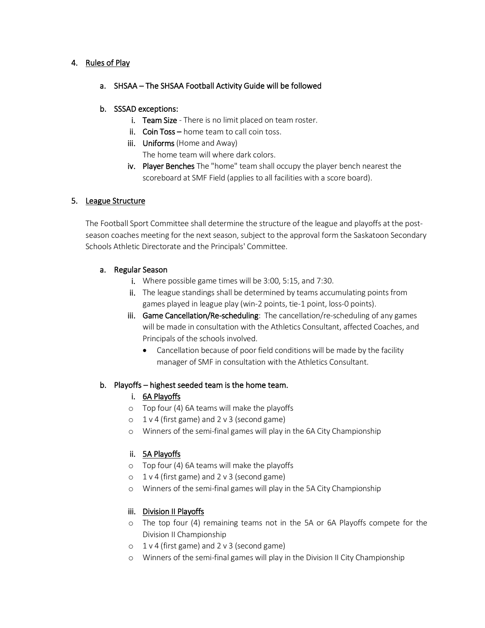## 4. Rules of Play

# a. SHSAA – The SHSAA Football Activity Guide will be followed

## b. SSSAD exceptions:

- i. Team Size There is no limit placed on team roster.
- ii. Coin Toss home team to call coin toss.
- iii. Uniforms (Home and Away)
	- The home team will where dark colors.
- iv. Player Benches The "home" team shall occupy the player bench nearest the scoreboard at SMF Field (applies to all facilities with a score board).

# 5. League Structure

The Football Sport Committee shall determine the structure of the league and playoffs at the postseason coaches meeting for the next season, subject to the approval form the Saskatoon Secondary Schools Athletic Directorate and the Principals' Committee.

#### a. Regular Season

- i. Where possible game times will be 3:00, 5:15, and 7:30.
- ii. The league standings shall be determined by teams accumulating points from games played in league play (win-2 points, tie-1 point, loss-0 points).
- iii. Game Cancellation/Re-scheduling: The cancellation/re-scheduling of any games will be made in consultation with the Athletics Consultant, affected Coaches, and Principals of the schools involved.
	- Cancellation because of poor field conditions will be made by the facility manager of SMF in consultation with the Athletics Consultant.

#### b. Playoffs – highest seeded team is the home team.

- i. 6A Playoffs
- o Top four (4) 6A teams will make the playoffs
- o 1 v 4 (first game) and 2 v 3 (second game)
- o Winners of the semi-final games will play in the 6A City Championship

# ii. 5A Playoffs

- o Top four (4) 6A teams will make the playoffs
- o 1 v 4 (first game) and 2 v 3 (second game)
- o Winners of the semi-final games will play in the 5A City Championship

# iii. Division II Playoffs

- o The top four (4) remaining teams not in the 5A or 6A Playoffs compete for the Division II Championship
- o 1 v 4 (first game) and 2 v 3 (second game)
- o Winners of the semi-final games will play in the Division II City Championship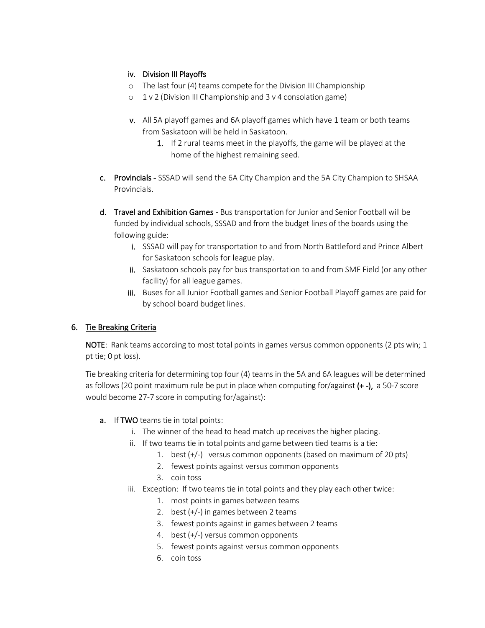# iv. Division III Playoffs

- o The last four (4) teams compete for the Division III Championship
- $\circ$  1 v 2 (Division III Championship and 3 v 4 consolation game)
- v. All 5A playoff games and 6A playoff games which have 1 team or both teams from Saskatoon will be held in Saskatoon.
	- 1. If 2 rural teams meet in the playoffs, the game will be played at the home of the highest remaining seed.
- c. Provincials SSSAD will send the 6A City Champion and the 5A City Champion to SHSAA Provincials.
- d. Travel and Exhibition Games Bus transportation for Junior and Senior Football will be funded by individual schools, SSSAD and from the budget lines of the boards using the following guide:
	- i. SSSAD will pay for transportation to and from North Battleford and Prince Albert for Saskatoon schools for league play.
	- ii. Saskatoon schools pay for bus transportation to and from SMF Field (or any other facility) for all league games.
	- iii. Buses for all Junior Football games and Senior Football Playoff games are paid for by school board budget lines.

# 6. Tie Breaking Criteria

NOTE: Rank teams according to most total points in games versus common opponents (2 pts win; 1) pt tie; 0 pt loss).

Tie breaking criteria for determining top four (4) teams in the 5A and 6A leagues will be determined as follows (20 point maximum rule be put in place when computing for/against  $(+)$ , a 50-7 score would become 27-7 score in computing for/against):

- a. If TWO teams tie in total points:
	- i. The winner of the head to head match up receives the higher placing.
	- ii. If two teams tie in total points and game between tied teams is a tie:
		- 1. best (+/-) versus common opponents (based on maximum of 20 pts)
		- 2. fewest points against versus common opponents
		- 3. coin toss
	- iii. Exception: If two teams tie in total points and they play each other twice:
		- 1. most points in games between teams
		- 2. best (+/-) in games between 2 teams
		- 3. fewest points against in games between 2 teams
		- 4. best (+/-) versus common opponents
		- 5. fewest points against versus common opponents
		- 6. coin toss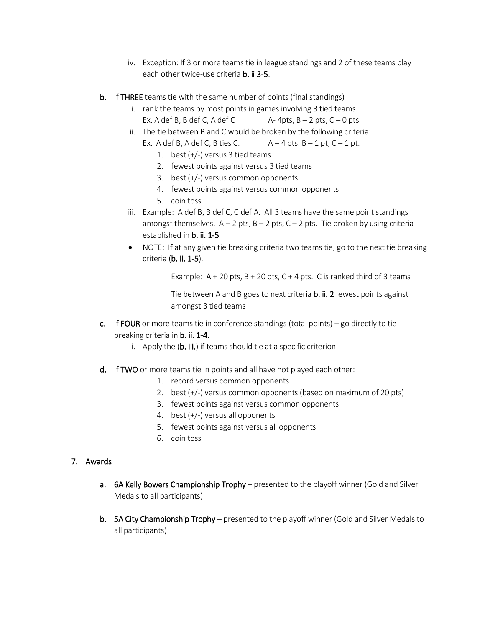- iv. Exception: If 3 or more teams tie in league standings and 2 of these teams play each other twice-use criteria **b. ii 3-5**.
- b. If THREE teams tie with the same number of points (final standings)
	- i. rank the teams by most points in games involving 3 tied teams Ex. A def B, B def C, A def C  $A-4pts$ , B - 2 pts, C - 0 pts.
	- ii. The tie between B and C would be broken by the following criteria:

Ex. A def B, A def C, B ties C.  $A - 4$  pts.  $B - 1$  pt,  $C - 1$  pt.

- 1. best  $(+/-)$  versus 3 tied teams
- 2. fewest points against versus 3 tied teams
- 3. best (+/-) versus common opponents
- 4. fewest points against versus common opponents
- 5. coin toss
- iii. Example: A def B, B def C, C def A. All 3 teams have the same point standings amongst themselves.  $A - 2$  pts,  $B - 2$  pts,  $C - 2$  pts. Tie broken by using criteria established in b. ii. 1-5
- NOTE: If at any given tie breaking criteria two teams tie, go to the next tie breaking criteria (b. ii. 1-5).

Example:  $A + 20$  pts,  $B + 20$  pts,  $C + 4$  pts. C is ranked third of 3 teams

Tie between A and B goes to next criteria b. ii. 2 fewest points against amongst 3 tied teams

- c. If FOUR or more teams tie in conference standings (total points) go directly to tie breaking criteria in b. ii. 1-4.
	- i. Apply the  $(b. iii.)$  if teams should tie at a specific criterion.
- d. If TWO or more teams tie in points and all have not played each other:
	- 1. record versus common opponents
	- 2. best (+/-) versus common opponents (based on maximum of 20 pts)
	- 3. fewest points against versus common opponents
	- 4. best (+/-) versus all opponents
	- 5. fewest points against versus all opponents
	- 6. coin toss

#### 7. Awards

- a. 6A Kelly Bowers Championship Trophy presented to the playoff winner (Gold and Silver Medals to all participants)
- b. 5A City Championship Trophy presented to the playoff winner (Gold and Silver Medals to all participants)